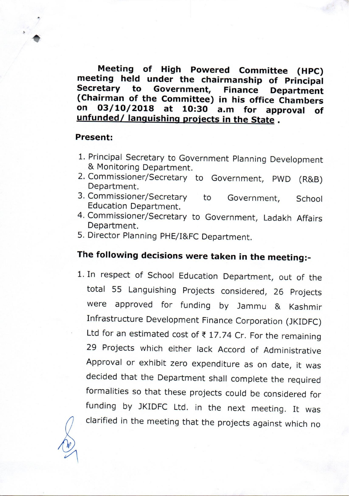Meeting of High Powered Committee (HPC) meeting held under the chairmanship of Principal Government, Secretary to **Finance Department** (Chairman of the Committee) in his office Chambers 03/10/2018 at  $on$ 10:30 a.m for approval οf unfunded/ languishing projects in the State.

## **Present:**

- 1. Principal Secretary to Government Planning Development & Monitoring Department.
- 2. Commissioner/Secretary to Government, PWD (R&B) Department.
- 3. Commissioner/Secretary to Government, School Education Department.
- 4. Commissioner/Secretary to Government, Ladakh Affairs Department.
- 5. Director Planning PHE/I&FC Department.

## The following decisions were taken in the meeting:-

1. In respect of School Education Department, out of the total 55 Languishing Projects considered, 26 Projects were approved for funding by Jammu & Kashmir Infrastructure Development Finance Corporation (JKIDFC) Ltd for an estimated cost of  $\overline{\epsilon}$  17.74 Cr. For the remaining 29 Projects which either lack Accord of Administrative Approval or exhibit zero expenditure as on date, it was decided that the Department shall complete the required formalities so that these projects could be considered for funding by JKIDFC Ltd. in the next meeting. It was clarified in the meeting that the projects against which no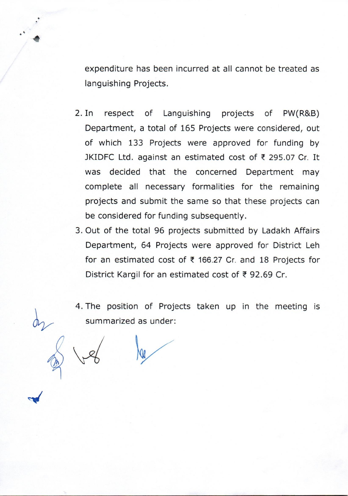expenditure has been incurred at all cannot be treated as languishing Projects.

- $2. In$ respect of Languishing projects of PW(R&B) Department, a total of 165 Projects were considered, out of which 133 Projects were approved for funding by JKIDFC Ltd. against an estimated cost of ₹ 295.07 Cr. It was decided that the concerned Department may complete all necessary formalities for the remaining projects and submit the same so that these projects can be considered for funding subsequently.
- 3. Out of the total 96 projects submitted by Ladakh Affairs Department, 64 Projects were approved for District Leh for an estimated cost of ₹ 166.27 Cr. and 18 Projects for District Kargil for an estimated cost of ₹92.69 Cr.

4. The position of Projects taken up in the meeting is summarized as under: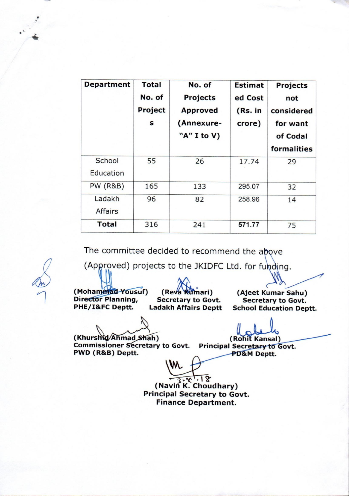| <b>Department</b>   | <b>Total</b><br>No. of<br>Project<br>S | No. of<br><b>Projects</b><br><b>Approved</b><br>(Annexure-<br>"A" I to V) | <b>Estimat</b><br>ed Cost<br>(Rs. in<br>crore) | <b>Projects</b><br>not<br>considered<br>for want<br>of Codal<br>formalities |
|---------------------|----------------------------------------|---------------------------------------------------------------------------|------------------------------------------------|-----------------------------------------------------------------------------|
| School<br>Education | 55                                     | 26                                                                        | 17.74                                          | 29                                                                          |
| <b>PW (R&amp;B)</b> | 165                                    | 133                                                                       | 295.07                                         | 32                                                                          |
| Ladakh<br>Affairs   | 96                                     | 82                                                                        | 258.96                                         | 14                                                                          |
| <b>Total</b>        | 316                                    | 241                                                                       | 571.77                                         | 75                                                                          |

The committee decided to recommend the above

(Approved) projects to the JKIDFC Ltd. for funding.

(Mohammad Yousuf) **Director Planning,** PHE/I&FC Deptt.

(Reva **Kumari**) **Secretary to Govt. Ladakh Affairs Deptt** 

(Ajeet Kumar Sahu) **Secretary to Govt. School Education Deptt.** 

(Khurshid/Ahmad Shah)

(Rohit Kansal)

Commissioner Secretary to Govt. Principal Secretary to Govt. PWD (R&B) Deptt.

PD&M Deptt.

(Navin K. Choudhary) **Principal Secretary to Govt. Finance Department.**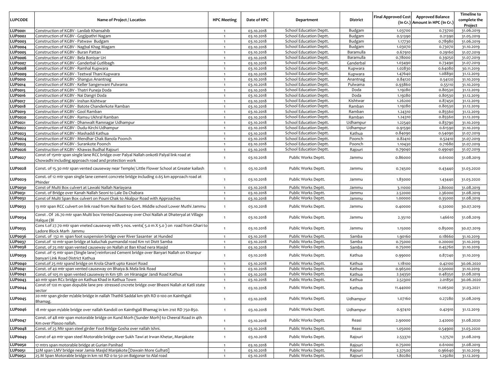|                |                                                                                                                                  |                    |             |                                                    |           | <b>Final Approved Cost</b> | <b>Approved Balance</b>         | <b>Timeline to</b>    |
|----------------|----------------------------------------------------------------------------------------------------------------------------------|--------------------|-------------|----------------------------------------------------|-----------|----------------------------|---------------------------------|-----------------------|
| <b>LUPCODE</b> | Name of Project / Location                                                                                                       | <b>HPC Meeting</b> | Date of HPC | Department                                         | District  |                            | (In Cr.) Amount in HPC (In Cr.) | complete the          |
| LUPooo1        | Construction of KGBV - Lanilab Khansahib                                                                                         | $\overline{1}$     | 03.10.2018  | School Education Deptt.                            | Budgam    | 1.03700                    | 0.73700                         | Project<br>31.06.2019 |
| LUP0002        | Construction of KGBV - Gogjipathri Nagam                                                                                         | $\overline{1}$     | 03.10.2018  | School Education Deptt.                            | Budgam    | 0.51390                    | 0.21390                         | 31.05.2019            |
| LUP0003        | Construction of KGBV - Patwaw Budgam                                                                                             | $\overline{1}$     | 03.10.2018  | School Education Deptt.                            | Budgam    | 1.17730                    | 0.78980                         | 31.06.2019            |
| LUPooo4        | Construction of KGBV - Nagbal Khag Magam                                                                                         | $\mathbf{1}$       | 03.10.2018  | School Education Deptt.                            | Budgam    | 1.03070                    | 0.73070                         | 31.10.2019            |
| LUPooo5        | Construction of KGBV - Buran Pattan                                                                                              |                    | 03.10.2018  | School Education Deptt.                            | Baramulla | 0.67910                    | 0.29160                         | 31.07.2019            |
| LUPooo6        | Construction of KGBV - Bela Boniyar Uri                                                                                          | $\mathbf{1}$       | 03.10.2018  | School Education Deptt.                            | Baramulla | 0.78000                    | 0.39250                         | 31.07.2019            |
| LUPooo7        | Construction of KGBV - Ganderbal Gutlibagh                                                                                       | $\overline{1}$     | 03.10.2018  | School Education Deptt.                            | Ganderbal | 1.03490                    | 0.73490                         | 31.07.2019            |
| LUPooo8        | Construction of KGBV - Ramhal Kupwara                                                                                            | $\overline{1}$     | 03.10.2018  | School Education Deptt.                            | Kupwara   | 1.02830                    | 0.64080                         | 30.11.2019            |
| LUPooo9        | Construction of KGBV - Teetwal Thani Kupwara                                                                                     | $\mathbf{1}$       | 03.10.2018  | School Education Deptt.                            | Kupwara   | 1.47640                    | 1.08890                         | 31.12.2019            |
| LUPoo10        | Construction of KGBV - Shangus Anantnag                                                                                          | $\overline{1}$     | 03.10.2018  | School Education Deptt.                            | Anantnag  | 0.84120                    | 0.54120                         | 31.10.2019            |
| LUPoo14        | Construction of KGBV - Keller Sangerwani Pulwama                                                                                 | $\overline{1}$     | 03.10.2018  | School Education Deptt.                            | Pulwama   | 0.93860                    | 0.55110                         | 31.10.2019            |
| LUPoo15        | Construction of KGBV - Thatri Puneja Doda                                                                                        | $\overline{1}$     | 03.10.2018  | School Education Deptt.                            | Doda      | 1.19280                    | 0.80530                         | 31.12.2019            |
| LUPoo16        | Construction of KGBV - Nai Dangri Doda                                                                                           | $\overline{1}$     | 03.10.2018  | School Education Deptt.                            | Doda      | 1.19280                    | 0.80530                         | 31.12.2019            |
| LUPoo17        | Construction of KGBV - Inshan Kishtwar                                                                                           | $\mathbf{1}$       | 03.10.2018  | School Education Deptt.                            | Kishtwar  | 1.26200                    | 0.87450                         | 31.12.2019            |
| LUPoo18        | Construction of KGBV - Batote Chanderkote Ramban                                                                                 | $\overline{1}$     | 03.10.2018  | School Education Deptt.                            | Ramban    | 1.19280                    | 0.80530                         | 31.12.2019            |
| LUPoo19        | Construction of KGBV - Gool Ramban                                                                                               | $\overline{1}$     | 03.10.2018  | School Education Deptt.                            | Ramban    | 1.24310                    | 0.85560                         | 31.12.2019            |
| LUPoo20        | Construction of KGBV - Ramsu Ukhral Ramban                                                                                       | $\overline{1}$     | 03.10.2018  | School Education Deptt.                            | Ramban    | 1.24310                    | 0.85560                         | 31.12.2019            |
| LUPoo21        | Construction of KGBV - Dhanwalt Ramnagar Udhampur                                                                                | $\overline{1}$     | 03.10.2018  | School Education Deptt.                            | Udhampur  | 1.22540                    | 0.83790                         | 31.10.2019            |
| LUP0022        | Construction of KGBV - Dudu-Kirchi Udhampur                                                                                      | $\overline{1}$     | 03.10.2018  | School Education Deptt.                            | Udhampur  | 0.91590                    | 0.61590                         | 31.10.2019            |
| LUP0023        | Construction of KGBV - Mashaddi Kathua                                                                                           | $\overline{1}$     | 03.10.2018  | School Education Deptt.                            | Kathua    | 0.84090                    | 0.54090                         | 31.07.2019            |
| LUPoo24        | Construction of KGBV - Mendhar Chak Banola Poonch                                                                                | $\overline{1}$     | 03.10.2018  | School Education Deptt.                            | Poonch    | 0.82410                    | 0.52410                         | 31.07.2019            |
| LUP0025        | Construction of KGBV - Surankote Poonch<br>Construction of KGBV - Khawas Budhal Rajouri                                          | $\overline{1}$     | 03.10.2018  | School Education Deptt.<br>School Education Deptt. | Poonch    | 1.10430                    | 0.71680                         | 31.07.2019            |
| LUPoo26        | Const of 15mtr span single lane RCC bridge over Palyal Nallah onkotli Palyal link road at                                        | $\mathbf{1}$       | 03.10.2018  |                                                    | Rajouri   | 0.79040                    | 0.49040                         | 31.07.2019            |
| LUPoo27        | Chowadhi including approach road and protection work                                                                             | $\overline{1}$     | 03.10.2018  | Public Works Deptt.                                | Jammu     | 0.86000                    | 0.61000                         | 31.08.2019            |
| LUPoo28        | Const. of 15.30 mtr span vented causeway near Temple/ Little Flower School at Greater kailash                                    | $\overline{1}$     | 03.10.2018  | Public Works Deptt.                                | Jammu     | 0.74500                    | 0.43440                         | 31.03.2020            |
| LUPoo29        | Const. of 12 mtr span single lane cement concrete bridge including 0.65 km approach road at<br>Phinder                           | $\mathbf{1}$       | 03.10.2018  | Public Works Deptt.                                | Jammu     | 1.83000                    | 1.4344C                         | 31.03.2020            |
| LUP0030        | Const of Multi Box culvert at Lawaki Nallah Nariayana                                                                            | $\overline{1}$     | 03.10.2018  | Public Works Deptt.                                | Jammu     | 3.11000                    | 2.80000                         | 31.08.2019            |
| LUP0031        | Const. of Bridge over Kanah Nallah Seoni to Lale Da Chabara                                                                      | $\overline{1}$     | 03.10.2018  | Public Works Deptt.                                | Jammu     | 2.52000                    | 2.36000                         | 31.08.2019            |
| <b>LUP0032</b> | Const of Multi Span Box culvert on Pouni Chak to Akalpur Road with Approaches                                                    |                    | 03.10.2018  | Public Works Deptt.                                | Jammu     | 1.00000                    | 0.35000                         | 31.08.2019            |
| LUP0033        | 13 mtr span RCC culvert on link road from Nai Basti to Govt. Middle school Lower Muthi Jammu                                     | $\overline{1}$     | 03.10.2018  | Public Works Deptt.                                | Jammu     | 0.40000                    | 0.32000                         | 30.07.2019            |
| <b>LUP0034</b> | Const . Of 26.70 mtr span Multi box Vented Causeway over Choi Nallah at Dhateryal at Village<br>Halque (Bl                       | $\mathbf{1}$       | 03.10.2018  | Public Works Deptt.                                | Jammu     | 2.35110                    | 1.46610                         | 31.08.2019            |
| <b>LUP0035</b> | Cons t.of 27.70 mtr span vneted causeway with 5 nos. vents(5.0 m X 5.0) on road from Ghari to<br>Ladore Block Marh Jammu         | $\mathbf{1}$       | 03.10.2018  | Public Works Deptt.                                | Jammu     | 1.15000                    | 0.85000                         | 30.07.2019            |
| LUP0036        | Const. of 132 m span foot suspension bridge over River Sasanter at Hunded                                                        | $\overline{1}$     | 03.10.2018  | Public Works Deptt.                                | Samba     | 1.90160                    | 0.18660                         | 31.10.2019            |
| LUP0037        | Const.of 10 mtr span bridge at kaluchak purmandal road Km 1st Distt Samba                                                        | $\mathbf{1}$       | 03.10.2018  | Public Works Deptt.                                | Samba     | 0.75000                    | 0.20000                         | 31.10.2019            |
| LUP0038        | Const. of 25 mtr span vented causeway on Nallah at Ban Khad nera Masjid                                                          |                    | 03.10.2018  | Public Works Deptt.                                | Samba     | 0.75000                    | 0.45760                         | 31.10.2019            |
| LUP0039        | Const .of 15 mtr span (Single lane) reinforced Cement bridge over Banyari Nallah on Khanpur<br>banyari Link Road District Kathua | $\mathbf{1}$       | 03.10.2018  | Public Works Deptt.                                | Kathua    | 0.99000                    | 0.87240                         | 31.10.2019            |
| LUPoo40        | Const.of 25 mtr spand bridge on Krola Gharit upto Kasori Road                                                                    | $\overline{1}$     | 03.10.2018  | Public Works Deptt.                                | Kathua    | 1.18100                    | 0.42100                         | 30.06.2020            |
| LUPoo41        | Const. of 40 mtr span vented causeway on Bhaiya & Mela link Road                                                                 | $\overline{1}$     | 03.10.2018  | Public Works Deptt.                                | Kathua    | 0.96500                    | 0.50000                         | 31.10.2019            |
| LUP0042        | Const. of 105 m span vented causeway in Km 5th on Hiranagar Jandi Road Kathua                                                    | $\overline{1}$     | 03.10.2018  | Public Works Deptt.                                | Kathua    | 2.34350                    | 0.48350                         | 31.08.2019            |
| LUP0043        | 40 mtr span RCc bridge on Kathua Khad in Kathua Town                                                                             | $\overline{1}$     | 03.10.2018  | Public Works Deptt.                                | Kathua    | 2.52300                    | 2.01850                         | 30.06.2020            |
| LUPoo44        | Const of 120 m span dopuble lane pre- stressed cncrete bridge over Bheeni Nallah at Katli state<br>sector                        | $\overline{1}$     | 03.10.2018  | Public Works Deptt.                                | Kathua    | 11.44000                   | 11.06500                        | 31.03.2021            |
| <b>LUP0045</b> | 20 mtr span girder m/able bridge in nallah Thathli Saddal km 9th RD 0-100 on Kainthgali<br>Bhamag.                               | $\mathbf{1}$       | 03.10.2018  | Public Works Deptt.                                | Udhampur  | 1.07160                    | 0.27280                         | 31.08.2019            |
| LUPoo46        | 18 mtr span m/able bridge over nallah Kandoli on Kainthgali Bhamag in km 21st RD 750-850.                                        | $\overline{1}$     | 03.10.2018  | Public Works Deptt.                                | Udhampur  | 0.97410                    | 0.42910                         | 31.12.2019            |
| LUPoo47        | Const. of 48 mtr span motorable bridge on Kund Morh (Sunder Morh) to Cheeral Road in 4th<br>Km over Plasoo nallah.               | $\mathbf{1}$       | 03.10.2018  | Public Works Deptt.                                | Reasi     | 2.90000                    | 2.42000                         | 31.08.2020            |
| LUPoo48        | Const. of 25 Mtr span steel girder Foot Bridge Gosha over nallah Ishni.                                                          | $\mathbf{1}$       | 03.10.2018  | Public Works Deptt.                                | Reasi     | 1.05000                    | 0.54900                         | 31.03.2020            |
| LUPoo49        | Const of 40 mtr span steel Motorable bridge over Sukh Tawi at Irwan Khetar, Manjakote                                            | $\mathbf{1}$       | 03.10.2018  | Public Works Deptt.                                | Rajouri   | 2.53370                    | 1.37570                         | 31.08.2019            |
| LUP0050        | 17 mtrs span motorable bridge at Gurian Panihad                                                                                  | $\overline{1}$     | 03.10.2018  | Public Works Deptt.                                | Rajouri   | 0.75000                    | 0.61000                         | 31.08.2019            |
| LUP0051        | 32M span LMV bridge near Jamia Masjid Manjakote [Dawain More Gulhati]                                                            | $\mathbf{1}$       | 03.10.2018  | Public Works Deptt.                                | Rajouri   | 2.37500                    | 0.96640                         | 31.10.2019            |
| LUP0052        | 25 M Span Motorable bridge in km 1st RD o to 50 on Baigonar to Alal road                                                         | $\mathbf{1}$       | 03.10.2018  | Public Works Deptt.                                | Rajouri   | 1.80280                    | 1.29280                         | 31.12.2019            |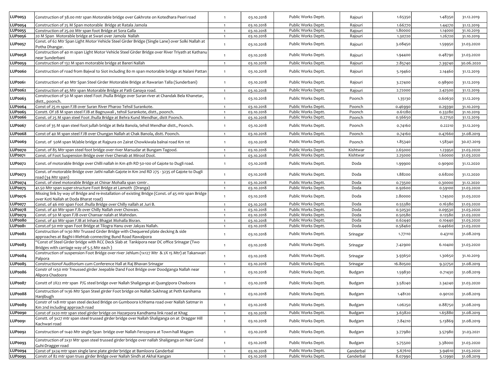| LUP0053        | Construction of 38.00 mtr span Motorable bridge over Gakhrote on Kotedhara Peeri road                                                             | $\overline{1}$ | 03.10.2018 | Public Works Deptt. | Rajouri   | 1.65350  | 1.48350 | 31.12.2019 |
|----------------|---------------------------------------------------------------------------------------------------------------------------------------------------|----------------|------------|---------------------|-----------|----------|---------|------------|
| LUPoo54        | Construction of 25 M Span motorable Bridge at Ratala Jamola                                                                                       | $\overline{1}$ | 03.10.2018 | Public Works Deptt. | Rajouri   | 1.66770  | 1.44270 | 31.12.2019 |
| LUPoo55        | Construction of 25.00 Mtr span foot Bridge at Sora Galla                                                                                          | $\overline{1}$ | 03.10.2018 | Public Works Deptt. | Rajouri   | 1.80000  | 1.14000 | 31.10.2019 |
| LUPoo56        | 20 M Span Motorable bridge at Swari over Jamola Nallah                                                                                            | $\mathbf{1}$   | 03.10.2018 | Public Works Deptt. | Rajouri   | 1.30720  | 1.26720 | 31.10.2019 |
| LUPoo57        | Const. of 62 Mtr Span Light Motor Vehicle Steel Girder Bridge (Single Lane) over Solki Nallah at<br>Potha Dhangar.                                | $\overline{1}$ | 03.10.2018 | Public Works Deptt. | Rajouri   | 3.08450  | 1.59950 | 31.03.2020 |
| LUPoo58        | Construction of 40 m span Light Motor Vehicle Steel Girder Bridge over River Triyath at Kathanu<br>near Sunderbani                                | $\mathbf{1}$   | 03.10.2018 | Public Works Deptt. | Rajouri   | 1.94400  | 0.48790 | 31.03.2020 |
| LUPoo59        | Construction of 132 M span motorable bridge at Bareri Nallah                                                                                      | $\overline{1}$ | 03.10.2018 | Public Works Deptt. | Rajouri   | 7.85740  | 7.39740 | 30.06.2020 |
|                |                                                                                                                                                   |                |            |                     |           |          |         |            |
| LUPoo6o        | Construction of road from Bajwal to Siot including 80 m span motorable bridge at Nalani Pattan                                                    | $\overline{1}$ | 03.10.2018 | Public Works Deptt. | Rajouri   | 5.19460  | 2.14460 | 31.12.2019 |
| LUPoo61        | Construction of 40 Mtr Span Steel Girder Motorable Bridge at Rawarian Talla (Sunderbani)                                                          | $\overline{1}$ | 03.10.2018 | Public Works Deptt. | Rajouri   | 3.27400  | 0.98900 | 31.12.2019 |
| LUPoo62        | Construction of 45 Mtr span Motorable Bridge at Patli Ganaya road.                                                                                | $\overline{1}$ | 03.10.2018 | Public Works Deptt. | Rajouri   | 2.72000  | 2.42500 | 31.12.2019 |
| LUPoo63        | Construction of 50 M span steel Foot Jhulla Bridge over Suran river at Chandak Bela Khanetar,<br>distt., poonch.                                  | $\mathbf{1}$   | 03.10.2018 | Public Works Deptt. | Poonch    | 1.35130  | 0.60630 | 31.12.2019 |
| LUPoo64        | Const of 25 m span FJB over Suran River Pharoo Tehsil Surankote.                                                                                  | $\overline{1}$ | 03.10.2018 | Public Works Deptt. | Poonch    | 0.46990  | 0.29390 | 31.10.2019 |
| LUPoo65        | Constt. Of 28 M span steel FJB at Bagnuwali, tehsil Surankote, distt., poonch.                                                                    | $\overline{1}$ | 03.10.2018 | Public Works Deptt. | Poonch    | 0.61280  | 0.33280 | 31.10.2019 |
| LUPoo66        | Const. of 25 M span steel Foot Jhulla Bridge at Behra Kund Mendhar, distt Poonch.                                                                 | $\overline{1}$ | 03.10.2018 | Public Works Deptt. | Poonch    | 0.56650  | 0.27150 | 31.12.2019 |
| LUPoo67        | Const of 35 M span steel foot jullah bridge at Bela Banola, tehsil Mendhar distt., Poonch.                                                        | $\mathbf{1}$   | 03.10.2018 | Public Works Deptt. | Poonch    | 0.74160  | 0.22210 | 31.12.2019 |
| LUPoo68        | Const of 40 M span steel FJB over Chungan Nallah at Chak Banola, distt. Poonch.                                                                   | $\overline{1}$ | 03.10.2018 | Public Works Deptt. | Poonch    | 0.74160  | 0.47660 | 31.08.2019 |
| LUPoo69        | Const. of 50M span M/able bridge at Rajpura on Zairat Chowkiwala balnai road Km 1st                                                               | $\overline{1}$ | 03.10.2018 | Public Works Deptt. | Poonch    | 1.85340  | 1.58340 | 30.07.2019 |
| LUPoo7o        | Const. of 85 Mtr span steel foot bridge over river Marsudar at Bungam Tagood.                                                                     | $\overline{1}$ | 03.10.2018 | Public Works Deptt. | Kishtwar  | 2.65000  | 1.23950 | 31.03.2020 |
| LUPoo71        | Const. of Foot Suspension Bridge over river Chenab at Mirool Dool.                                                                                | $\overline{1}$ | 03.10.2018 | Public Works Deptt. | Kishtwar  | 2.25000  | 1.60000 | 31.03.2020 |
| LUP0072        | Const. of motorable Bridge over Chilli nallah in Km 4th RD 50-100 of Gajote to Dugli road.                                                        | $\overline{1}$ | 03.10.2018 | Public Works Deptt. | Doda      | 1.99900  | 0.90900 | 31.12.2020 |
| LUPoo73        | Const. of motorable Bridge over Jathi nallah Gajote in Km 2nd RD 275 - 3235 of Gajote to Dugli<br>road (34 Mtr span)                              | $\mathbf{1}$   | 03.10.2018 | Public Works Deptt. | Doda      | 1.88200  | 0.68200 | 31.12.2020 |
| LUPoo74        | Const. of steel motorable Bridge at Chinar Mohalla span 12mtr.                                                                                    | $\overline{1}$ | 03.10.2018 | Public Works Deptt. | Doda      | 0.73500  | 0.30000 | 31.12.2020 |
| <b>LUPoo75</b> | 41.50 Mtr span super-structure Foot Bridge at Lamoth (Dranga)                                                                                     | $\overline{1}$ | 03.10.2018 | Public Works Deptt. | Doda      | 0.92600  | 0.59100 | 31.03.2020 |
| LUPoo76        | Missing link by way of Bridge and re-installation of existing Bridge (Const. of 45 mtr span Bridge<br>over Koti Nallah at Doda Bharat road)       | $\mathbf{1}$   | 03.10.2018 | Public Works Deptt. | Doda      | 2.80000  | 1.74500 | 31.03.2020 |
| <b>LUPoo77</b> | Const. of 46 mtr span Foot Jhulla Bridge over Chilly nallah at Juri B.                                                                            | $\overline{1}$ | 03.10.2018 | Public Works Deptt. | Doda      | 0.55380  | 0.16380 | 31.03.2020 |
| LUPoo78        | Const. of 40 Mtr span FJb over Chilly Nallah over Chowan.                                                                                         | $\overline{1}$ | 03.10.2018 | Public Works Deptt. | Doda      | 0.50530  | 0.09530 | 31.03.2020 |
| LUPoo79        | Const. of 50 M span FJB over Chansar nalah at Mahndan.                                                                                            | $\mathbf{1}$   | 03.10.2018 | Public Works Deptt. | Doda      | 0.50580  | 0.12580 | 31.03.2020 |
| LUPoo8o        | Const. of 40 Mtr span FJB at Inhara Bhagat Mohalla Bisran.                                                                                        | $\overline{1}$ | 03.10.2018 | Public Works Deptt. | Doda      | 0.62440  | 0.10440 | 31.03.2020 |
| LUPoo81        | Const.of 50 mtr span Foot Bridge at Tilogra Hanu over Jakyas Nallah.                                                                              | $\overline{1}$ | 03.10.2018 | Public Works Deptt. | Doda      | 0.58460  | 0.44660 | 31.03.2020 |
| LUPoo82        | Construction of 1x30 Mtr Trussed Girder Bridge with Chequered plate decking & side<br>approaches at Baghi-i-Mehtab connecting Bund Road Rawalpora | $\overline{1}$ | 03.10.2018 | Public Works Deptt. | Srinagar  | 1.77110  | 0.43110 | 31.08.2019 |
| LUPoo83        | "Const of Steel Girder bridge with RCC Deck Slab at Tankipora near DC office Srinagar (Two<br>Bridges with carriage way of 5.5 Mtr each)          | $\mathbf{1}$   | 03.10.2018 | Public Works Deptt. | Srinagar  | 7.42900  | 6.10400 | 31.03.2020 |
| LUPoo84        | Construction of suspension Foot Bridge over river Jehlum (1x127 Mtr & 2X 15 Mtr) at Takanwari<br>Palpora                                          | $\overline{1}$ | 03.10.2018 | Public Works Deptt. | Srinagar  | 3.93650  | 1.30650 | 31.10.2019 |
| LUPoo85        | Constructionof Auditorium cum Conference Hall at Raj Bhavan Srinagar                                                                              | $\overline{1}$ | 03.10.2018 | Public Works Deptt. | Srinagar  | 16.80500 | 9.32750 | 31.08.2019 |
| LUPoo86        | Constr of 1x50 mtr Treussed girder Jeepable Dand Foot Bridge over Doodganga Nallah near                                                           | $\mathbf{1}$   | 03.10.2018 | Public Works Deptt. | Budgam    | 1.59830  | 0.71430 | 31.08.2019 |
| LUPoo87        | Alipora Chadoora<br>Constt of 2X22 mtr span P/G steel bridge over Nallah Shaliganga at Quangipora Chadoora                                        | $\overline{1}$ | 03.10.2018 | Public Works Deptt. | Budgam    | 3.58240  | 2.34240 | 31.03.2020 |
| <b>LUPoo88</b> | Construction of 1x36 Mtr Span Steel girder Foot bridge on Nallah Sukhnag at Peth Kanihama                                                         | $\mathbf{1}$   | 03.10.2018 | Public Works Deptt. | Budgam    | 1.48120  | 0.90120 | 31.08.2019 |
| LUPoo89        | Hanjibugh<br>Constr of 1x8 mtr span steel decked Bridge on Gumboora Ichhama road over Nallah Satmar in                                            |                |            | Public Works Deptt. | Budgam    |          | 0.88750 | 31.08.2019 |
|                | Km 2nd including approach road                                                                                                                    | $\mathbf{1}$   | 03.10.2018 |                     |           | 1.06250  |         |            |
| <b>LUPoo9o</b> | Const of 2x20 mtr span steel girder bridge on Hazarpora Kandhama link road at Khag                                                                | $\overline{1}$ | 03.10.2018 | Public Works Deptt. | Budgam    | 3.63820  | 1.65880 | 31.08.2019 |
| LUPoo91        | Constt. of 3x27 mtr span steel trussed girder bridge over Nallah Shaliganga on at Dragger Hill<br>Kachwari road                                   | $\mathbf{1}$   | 03.10.2018 | Public Works Deptt. | Budgam    | 7.84210  | 5.13869 | 31.08.2019 |
| LUP0092        | Construction of 1x40 Mtr single Span bridge over Nallah Ferozpora at Town-hall Magam                                                              | $\overline{1}$ | 03.10.2018 | Public Works Deptt. | Budgam    | 3.77980  | 3.57980 | 31.03.2021 |
| LUP0093        | Construction of 2x31 Mtr span steel trussed girder bridge over nallah Shaliganga on Nair Gund<br>Guhi-Dragger road                                | $\mathbf{1}$   | 03.10.2018 | Public Works Deptt. | Budgam    | 5.75500  | 3.38000 | 31.03.2020 |
| LUPoo94        | Const of 3x24 mtr span single lane plate girder bridge at Bamloora Ganderbal                                                                      | $\overline{1}$ | 03.10.2018 | Public Works Deptt. | Ganderbal | 5.67610  | 3.94610 | 31.03.2020 |
| LUPoo95        | Constr.of 82 mtr span truss girder Bridge over Nallah Sindh at Akhal Kangan                                                                       | $\overline{1}$ | 03.10.2018 | Public Works Deptt. | Ganderbal | 8.07990  | 5.12990 | 31.08.2019 |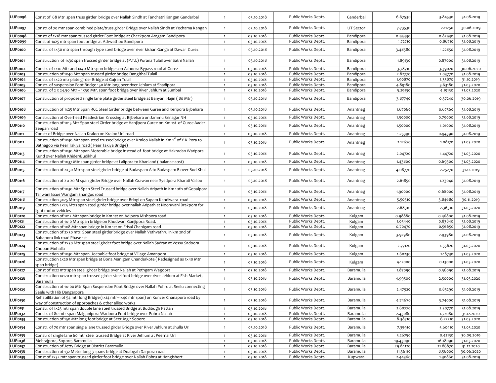| LUPoo96        | Const of 68 Mtr span truss girder bridge over Nallah Sindh at Tanchatri Kangan Ganderbal                                                                         | $\mathbf{1}$   | 03.10.2018 | Public Works Deptt. | Ganderbal | 6.67530  | 3.84530  | 31.08.2019 |
|----------------|------------------------------------------------------------------------------------------------------------------------------------------------------------------|----------------|------------|---------------------|-----------|----------|----------|------------|
| LUPoo97        | Constr.of 70 mtr span combined plate/truss girder Bridge over Nallah Sindh at Yechama Kangan                                                                     | $\mathbf{1}$   | 03.10.2018 | Public Works Deptt. | UT Sector | 7.73530  | 2.11250  | 30.06.2019 |
| LUPoo98        | Constr of 1x18 mtr span trussed girder Foot Bridge at Checkpora Aragam Bandipora                                                                                 | $\overline{1}$ | 03.10.2018 | Public Works Deptt. | Bandipora | 0.95430  | 0.82930  | 31.08.2019 |
| LUP0099        | Const of 1x25 mtr span foot bridge at Athwathoo Bandipora                                                                                                        | $\overline{1}$ | 03.10.2018 | Public Works Deptt. | Bandipora | 1.72710  | 0.86710  | 31.08.2019 |
| LUP0100        | Constr. of 1x50 mtr span through type steel bridge over river kishan Ganga at Dawar Gurez                                                                        | $\mathbf{1}$   | 03.10.2018 | Public Works Deptt. | Bandipora | 3.48580  | 1.22850  | 31.08.2019 |
| LUP0101        | Construction of 1x30 span trussed girder bridge at (P.T.L) Purana Tulail over Satni Nallah                                                                       | 1              | 03.10.2018 | Public Works Deptt. | Bandipora | 1.89130  | 0.87000  | 31.08.2019 |
| LUP0102        | Constr. of 1x10 Mtr and 1x40 Mtr span bridges on Achoora Bypass road at Gurez                                                                                    | $\overline{1}$ | 03.10.2018 | Public Works Deptt. | Bandipora | 3.78710  | 3.39020  | 30.06.2020 |
| LUP0103        | Construction of 1x40 Mtr span trussed girder bridge Dangithal Tulail                                                                                             | $\overline{1}$ | 03.10.2018 | Public Works Deptt. | Bandipora | 2.82770  | 2.03770  | 31.08.2019 |
| <b>LUP0104</b> | Constr. of 1x20 mtr plate girder Bridge at Gujran Tulail                                                                                                         | $\overline{1}$ | 03.10.2018 | Public Works Deptt. | Bandipora | 1.90870  | 1.33870  | 31.10.2019 |
| <b>LUP0105</b> | Constr. of suspension Foot Bridge 150 Mtr long over river Jehlum at Shadipora                                                                                    | $\overline{1}$ | 03.10.2018 | Public Works Deptt. | Bandipora | 4.89180  | 3.63180  | 31.03.2020 |
| LUP0106        | Constr. of 2 x 24.50 Mtr + 1x50 Mtr. span foot bridge over River Jehlum at Sumbal                                                                                | $\overline{1}$ | 03.10.2018 | Public Works Deptt. | Bandipora | 5.29130  | 4.19130  | 31.03.2020 |
| LUP0107        | Construction of proposed single lane plate girder steel bridge at Banyari Hajin (80 Mtr)                                                                         | $\mathbf{1}$   | 03.10.2018 | Public Works Deptt. | Bandipora | 3.87740  | 0.37240  | 30.06.2019 |
| LUP0108        | Construction of 1x25 Mtr Span RCC Steel Girder bridge between Guree and Keripora Bijbehara                                                                       | $\mathbf{1}$   | 03.10.2018 | Public Works Deptt. | Anantnag  | 1.67060  | 0.67560  | 31.08.2019 |
| LUP0109        | Construction of Overhead Peadestrian Crossing at Bijbehara on Jammu Srinagar NH                                                                                  | $\overline{1}$ | 03.10.2018 | Public Works Deptt. | Anantnag  | 1.50000  | 0.79000  | 31.08.2019 |
| LUP0110        | Construction of 1x15 Mtr Span steel Girder bridge at Hanjipora Guree on Km 1st of Guree Aader<br>Seepan road                                                     | $\overline{1}$ | 03.10.2018 | Public Works Deptt. | Anantnag  | 1.50000  | 1.01000  | 31.08.2019 |
| <b>LUP0111</b> | Constr of Bridge over Nallah Kraloo on Kraloo Uril road                                                                                                          | $\overline{1}$ | 03.10.2018 | Public Works Deptt. | Anantnag  | 1.25390  | 0.94390  | 31.08.2019 |
| LUP0112        | Construction of 1x30 Mtr span steel trussed bridge over Kraloo Nallah in Km 1 <sup>st</sup> of Y.K.Pora to<br>Batnagoo via Peer Takiya road (Peer Takiya Bridge) | $\overline{1}$ | 03.10.2018 | Public Works Deptt. | Anantnag  | 2.12670  | 1.08170  | 31.03.2020 |
| LUP0113        | Construction of 1x30 Mtr span Motorable bridge instead of foot bridge at Hakradan Waripora<br>Kund over Nallah Khider/Budikhul                                   | $\overline{1}$ | 03.10.2018 | Public Works Deptt. | Anantnag  | 2.04720  | 1.44720  | 31.03.2020 |
| <b>LUP0114</b> | Construction of 1x37 Mtr span girder bridge at Lalipora to Khanland (balance cost)                                                                               | $\overline{1}$ | 03.10.2018 | Public Works Deptt. | Anantnag  | 1.43800  | 0.69300  | 31.03.2020 |
| LUP0115        | Construction of 2x30 Mtr span steel girder bridge at Badasgam A to Badasgam B over Bud Khul                                                                      | $\overline{1}$ | 03.10.2018 | Public Works Deptt. | Anantnag  | 4.08770  | 2.25270  | 31.12.2019 |
| LUP0116        | Construction of 2 x 20 M span girder Bridge over Nallah Grawan near Syedpora Kharati Vailoo                                                                      | $\overline{1}$ | 03.10.2018 | Public Works Deptt. | Anantnag  | 2.61850  | 1.23040  | 31.08.2019 |
| LUP0117        | Construction of 1x30 Mtr Span Steel Trussed bridge over Nallah Aripath in Km 10th of Gopalpora<br>Tailwani Issue Wangam Shangus road                             | $\overline{1}$ | 03.10.2018 | Public Works Deptt. | Anantnag  | 1.90000  | 0.68000  | 31.08.2019 |
| <b>LUP0118</b> | Construction 3x25 Mtr span steel girder bridge over Bringi on Sagam Kandiwara road                                                                               | $\overline{1}$ | 03.10.2018 | Public Works Deptt. | Anantnag  | 5.50510  | 3.84680  | 30.11.2019 |
| LUP0119        | Construction 2x25 Mtrs span steel girder bridge over nallah Aripath at Noonwani Brakpora for<br>light motor vehicles                                             | $\overline{1}$ | 03.10.2018 | Public Works Deptt. | Anantnag  | 2.68310  | 2.36310  | 31.03.2020 |
| <b>LUP0120</b> | Construction of 1x12 Mtr span bridge in Km 1st on Adipora Mishpora road                                                                                          | $\overline{1}$ | 03.10.2018 | Public Works Deptt. | Kulgam    | 0.98880  | 0.46800  | 31.08.2019 |
| <b>LUP0121</b> | Construction of 1x10 Mtr span bridge on Khudwani Ganjipora Road.                                                                                                 | $\overline{1}$ | 03.10.2018 | Public Works Deptt. | Kulgam    | 1.05440  | 0.83840  | 31.08.2019 |
| <b>LUP0122</b> | Construction of 1x8 Mtr span bridge in Km 1st on Frisal Chanigam road                                                                                            | $\overline{1}$ | 03.10.2018 | Public Works Deptt. | Kulgam    | 0.70470  | 0.56650  | 31.08.2019 |
| LUP0123        | Construction of 2x30 mtr. Span steel girder bridge over Nallah Vethvathru in km 2nd of<br>Babapora link road Phase 1st                                           | $\overline{1}$ | 03.10.2018 | Public Works Deptt. | Kulgam    | 3.92980  | 2.93980  | 31.08.2019 |
| <b>LUP0124</b> | Construction of 2x30 Mtr span steel girder foot bridge over Nallah Sadran at Vessu Sadoora<br>Chopan Mohalla                                                     | $\overline{1}$ | 03.10.2018 | Public Works Deptt. | Kulgam    | 2.77120  | 1.55620  | 31.03.2020 |
| <b>LUP0125</b> | Construction of 1x30 Mtr span Jeepable foot bridge at Village Amanpora                                                                                           | $\overline{1}$ | 03.10.2018 | Public Works Deptt. | Kulgam    | 1.60230  | 1.18730  | 31.03.2020 |
| <b>LUP0126</b> | Construction 2x20 Mtr span bridge at Bona Manigam Chanderkote (Redesigned as 1x40 Mtr<br>span bridge)                                                            | $\overline{1}$ | 03.10.2018 | Public Works Deptt. | Kulgam    | 4.12000  | 0.13000  | 31.03.2020 |
| <b>LUP0127</b> | Const of 1x22 mtr span steel girder bridge over Nallah at Pethgam Wagoora                                                                                        | $\overline{1}$ | 03.10.2018 | Public Works Deptt. | Baramulla | 1.87090  | 0.56090  | 31.08.2019 |
| <b>LUP0128</b> | Construction 1x120 mtr span trussed girder steel foot bridge over river Jehlum at Fish Market,<br>Baramulla                                                      | $\overline{1}$ | 03.10.2018 | Public Works Deptt. | Baramulla | 4.99500  | 2.50000  | 31.03.2020 |
| <b>LUP0129</b> | Construction of 1x100 Mtr Span Suspension Foot Bridge over Nallah Pohru at Seelu connecting<br>Seelu with Hib Dangerpora                                         | $\overline{1}$ | 03.10.2018 | Public Works Deptt. | Baramulla | 2.47920  | 0.83290  | 31.08.2019 |
| LUP0130        | Rehabilitation of 54 mtr long Bridge (1x14 mtr+1x40 mtr span) on Kunzer Chanapora road by<br>way of construction of approaches & other allied works              | $\overline{1}$ | 03.10.2018 | Public Works Deptt. | Baramulla | 4.74670  | 3.74000  | 31.08.2019 |
| LUP0131        | Constr. of 1x25 mtr span double lane steel trussed Bridge at Budibugh Pattan                                                                                     | $\overline{1}$ | 03.10.2018 | Public Works Deptt. | Baramulla | 2.60770  | 2.50770  | 31.08.2019 |
| <b>LUP0132</b> | Constr. of 80 mtr span Malganipora Wadoora Foot bridge over Pohru Nallah                                                                                         | $\overline{1}$ | 03.10.2018 | Public Works Deptt. | Baramulla | 2.43080  | 1.72080  | 31.12.2020 |
| LUP0133        | Construction of 150 Mtr long foot bridge at Seer Jagir Sopore                                                                                                    | $\overline{1}$ | 03.10.2018 | Public Works Deptt. | Baramulla | 8.38710  | 6.22210  | 31.03.2020 |
| <b>LUP0134</b> | Constr. of 70 mtr span single lane trussed girder Bridge over River Jehlum at Jhulla Uri                                                                         | $\mathbf{1}$   | 03.10.2018 | Public Works Deptt. | Baramulla | 7.35910  | 5.60410  | 31.03.2020 |
| <b>LUP0135</b> | Constr of single lane 60 mtr steel trussed Bridge at River Jehlum at Peernai Uri                                                                                 | $\overline{1}$ | 03.10.2018 | Public Works Deptt. | Baramulla | 5.26750  | 0.42130  | 30.09.2019 |
| LUP0136        | Mehrajpora, Sopore, Baramulla                                                                                                                                    | $\overline{1}$ | 03.10.2018 | Public Works Deptt. | Baramulla | 19.43090 | 16.18090 | 31.03.2020 |
| <b>LUP0137</b> | Construction of Jetty Bridge at District Baramulla                                                                                                               | $\overline{1}$ | 03.10.2018 | Public Works Deptt. | Baramulla | 29.84120 | 21.86870 | 31.12.2020 |
| LUP0138        | Construction of 132 Meter long 3 spans bridge at Doabgah Darpora road                                                                                            | $\overline{1}$ | 03.10.2018 | Public Works Deptt. | Baramulla | 11.36110 | 8.56000  | 30.06.2020 |
| <b>LUP0139</b> | Const of 2x32 mtr span trussed girder foot bridge over Nallah Pohru at Hangishort                                                                                | $\overline{1}$ | 03.10.2018 | Public Works Deptt. | Kupwara   | 2.44360  | 1.30860  | 31.08.2019 |